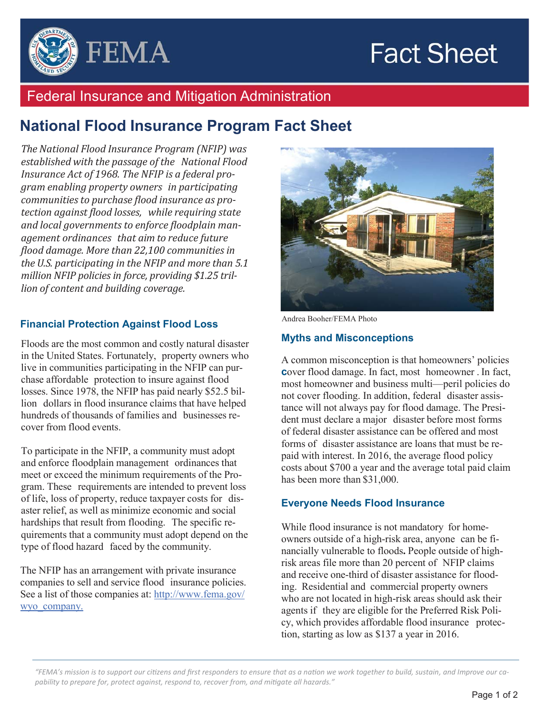# **Fact Sheet**



### Federal Insurance and Mitigation Administration

## **National Flood Insurance Program Fact Sheet**

*The National Flood Insurance Program (NFIP) was established with the passage of the National Flood Insurance Act of 1968. The NFIP is a federal program enabling property owners in participating communities to purchase flood insurance as protection against ϔlood losses, while requiring state and local governments to enforce ϔloodplain management ordinances that aim to reduce future ϔlood damage. More than 22,100 communities in the U.S. participating in the NFIP and more than 5.1 million NFIP policies in force, providing \$1.25 trillion of content and building coverage.* 

#### **Financial Protection Against Flood Loss**

Floods are the most common and costly natural disaster in the United States. Fortunately, property owners who live in communities participating in the NFIP can purchase affordable protection to insure against flood losses. Since 1978, the NFIP has paid nearly \$52.5 billion dollars in flood insurance claims that have helped hundreds of thousands of families and businesses recover from flood events.

To participate in the NFIP, a community must adopt and enforce floodplain management ordinances that meet or exceed the minimum requirements of the Program. These requirements are intended to prevent loss of life, loss of property, reduce taxpayer costs for disaster relief, as well as minimize economic and social hardships that result from flooding. The specific requirements that a community must adopt depend on the type of flood hazard faced by the community.

The NFIP has an arrangement with private insurance companies to sell and service flood insurance policies. See a list of those companies at: http://www.fema.gov/ wyo\_company.



Andrea Booher/FEMA Photo

#### **Myths and Misconceptions**

A common misconception is that homeowners' policies **c**over flood damage. In fact, most homeowner . In fact, most homeowner and business multi—peril policies do not cover flooding. In addition, federal disaster assistance will not always pay for flood damage. The President must declare a major disaster before most forms of federal disaster assistance can be offered and most forms of disaster assistance are loans that must be repaid with interest. In 2016, the average flood policy costs about \$700 a year and the average total paid claim has been more than \$31,000.

#### **Everyone Needs Flood Insurance**

While flood insurance is not mandatory for homeowners outside of a high-risk area, anyone can be financially vulnerable to floods**.** People outside of highrisk areas file more than 20 percent of NFIP claims and receive one-third of disaster assistance for flooding. Residential and commercial property owners who are not located in high-risk areas should ask their agents if they are eligible for the Preferred Risk Policy, which provides affordable flood insurance protection, starting as low as \$137 a year in 2016.

*"FEMA's mission is to support our ciƟzens and first responders to ensure that as a naƟon we work together to build, sustain, and Improve our capability to prepare for, protect against, respond to, recover from, and miƟgate all hazards."*